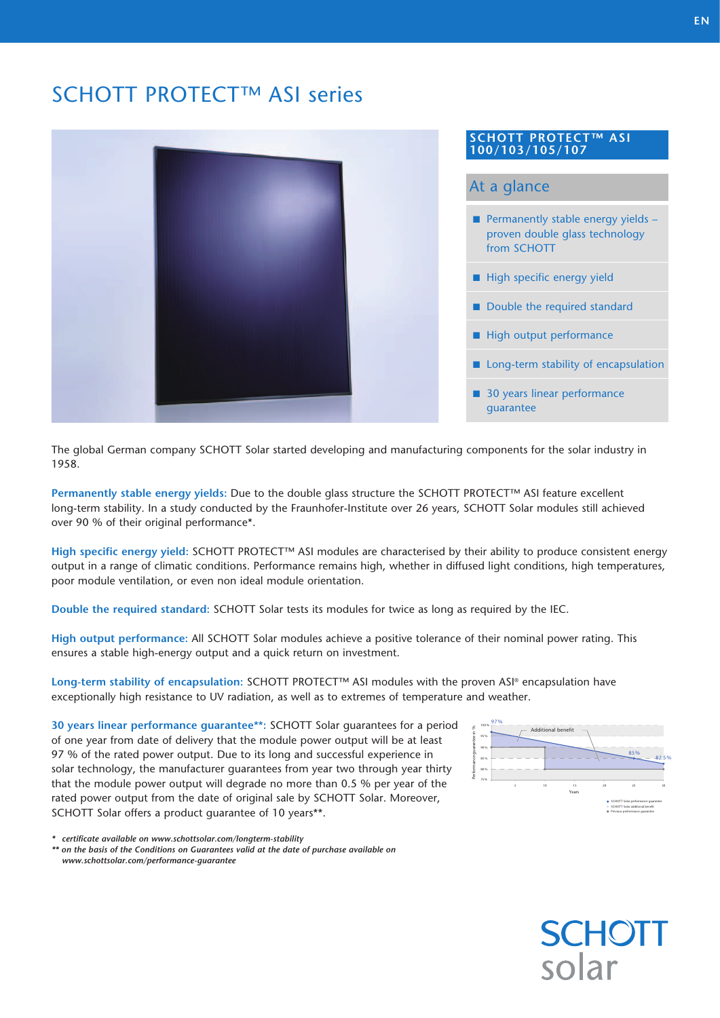# SCHOTT PROTECT™ ASI series



### **SCHOTT PROTECT™ ASI 100/103/105/107**

# At a glance

- **Permanently stable energy yields**  proven double glass technology from SCHOTT
- $\blacksquare$  High specific energy yield
- $\blacksquare$  Double the required standard
- $\blacksquare$  High output performance
- $\blacksquare$  Long-term stability of encapsulation
- 30 years linear performance guarantee

The global German company SCHOTT Solar started developing and manufacturing components for the solar industry in 1958.

**Permanently stable energy yields:** Due to the double glass structure the SCHOTT PROTECT™ ASI feature excellent long-term stability. In a study conducted by the Fraunhofer-Institute over 26 years, SCHOTT Solar modules still achieved over 90 % of their original performance\*.

**High specific energy yield:** SCHOTT PROTECT™ ASI modules are characterised by their ability to produce consistent energy output in a range of climatic conditions. Performance remains high, whether in diffused light conditions, high temperatures, poor module ventilation, or even non ideal module orientation.

**Double the required standard:** SCHOTT Solar tests its modules for twice as long as required by the IEC.

**High output performance:** All SCHOTT Solar modules achieve a positive tolerance of their nominal power rating. This ensures a stable high-energy output and a quick return on investment.

**Long-term stability of encapsulation:** SCHOTT PROTECT™ ASI modules with the proven ASI® encapsulation have exceptionally high resistance to UV radiation, as well as to extremes of temperature and weather.

**30 years linear performance guarantee\*\*:** SCHOTT Solar guarantees for a period of one year from date of delivery that the module power output will be at least 97 % of the rated power output. Due to its long and successful experience in solar technology, the manufacturer guarantees from year two through year thirty that the module power output will degrade no more than 0.5 % per year of the rated power output from the date of original sale by SCHOTT Solar. Moreover, SCHOTT Solar offers a product guarantee of 10 years\*\*.

*\* certificate available on www.schottsolar.com/longterm-stability*

*\*\* on the basis of the Conditions on Guarantees valid at the date of purchase available on www.schottsolar.com/performance-guarantee*